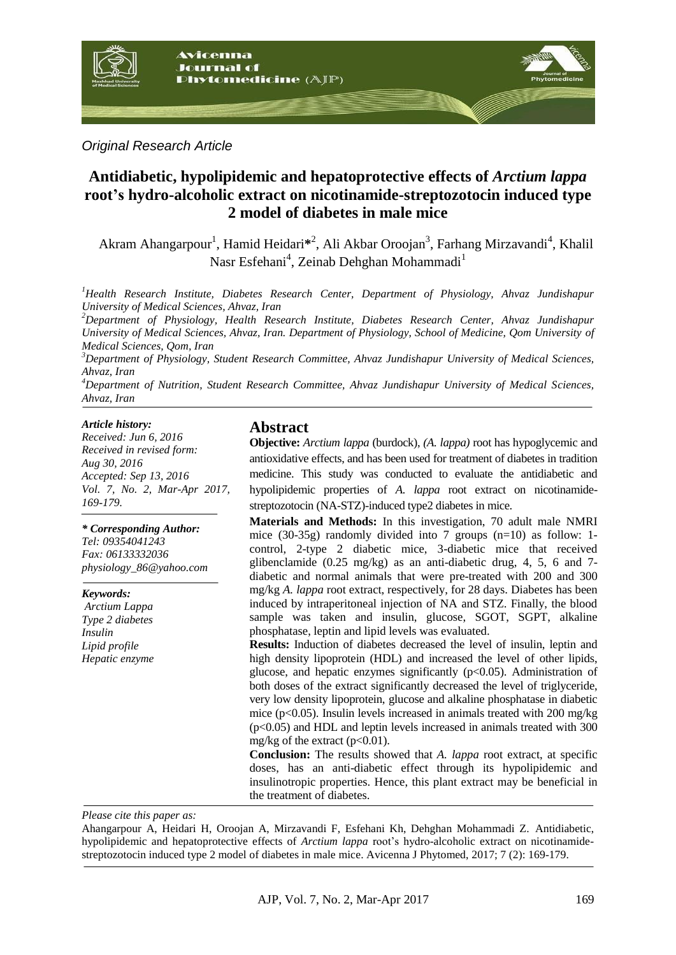

*Original Research Article*

# **Antidiabetic, hypolipidemic and hepatoprotective effects of** *Arctium lappa* **root's hydro-alcoholic extract on nicotinamide-streptozotocin induced type 2 model of diabetes in male mice**

Akram Ahangarpour<sup>1</sup>, Hamid Heidari<sup>\*2</sup>, Ali Akbar Oroojan<sup>3</sup>, Farhang Mirzavandi<sup>4</sup>, Khalil Nasr Esfehani<sup>4</sup>, Zeinab Dehghan Mohammadi<sup>1</sup>

*<sup>1</sup>Health Research Institute, Diabetes Research Center, Department of Physiology, Ahvaz Jundishapur University of Medical Sciences, Ahvaz, Iran* 

*<sup>2</sup>Department of Physiology, Health Research Institute, Diabetes Research Center, Ahvaz Jundishapur University of Medical Sciences, Ahvaz, Iran. Department of Physiology, School of Medicine, Qom University of Medical Sciences, Qom, Iran*

*<sup>3</sup>Department of Physiology, Student Research Committee, Ahvaz Jundishapur University of Medical Sciences, Ahvaz, Iran* 

*<sup>4</sup>Department of Nutrition, Student Research Committee, Ahvaz Jundishapur University of Medical Sciences, Ahvaz, Iran*

#### *Article history:*

*Received: Jun 6, 2016 Received in revised form: Aug 30, 2016 Accepted: Sep 13, 2016 Vol. 7, No. 2, Mar-Apr 2017, 169-179.*

*\* Corresponding Author:*

*Tel: 09354041243 Fax: 06133332036 [physiology\\_86@yahoo.com](mailto:physiology_86@yahoo.com)*

*Keywords: Arctium Lappa Type 2 diabetes Insulin*

*Lipid profile Hepatic enzyme*

#### **Abstract**

**Objective:** *Arctium lappa* (burdock), *(A. lappa)* root has hypoglycemic and antioxidative effects, and has been used for treatment of diabetes in tradition medicine. This study was conducted to evaluate the antidiabetic and hypolipidemic properties of *A. lappa* root extract on nicotinamidestreptozotocin (NA-STZ)-induced type2 diabetes in mice.

**Materials and Methods:** In this investigation, 70 adult male NMRI mice (30-35g) randomly divided into 7 groups (n=10) as follow: 1 control, 2-type 2 diabetic mice, 3-diabetic mice that received glibenclamide (0.25 mg/kg) as an anti-diabetic drug, 4, 5, 6 and 7 diabetic and normal animals that were pre-treated with 200 and 300 mg/kg *A. lappa* root extract, respectively, for 28 days. Diabetes has been induced by intraperitoneal injection of NA and STZ. Finally, the blood sample was taken and insulin, glucose, SGOT, SGPT, alkaline phosphatase, leptin and lipid levels was evaluated.

**Results:** Induction of diabetes decreased the level of insulin, leptin and high density lipoprotein (HDL) and increased the level of other lipids, glucose, and hepatic enzymes significantly  $(p<0.05)$ . Administration of both doses of the extract significantly decreased the level of triglyceride, very low density lipoprotein, glucose and alkaline phosphatase in diabetic mice ( $p<0.05$ ). Insulin levels increased in animals treated with 200 mg/kg  $(p<0.05)$  and HDL and leptin levels increased in animals treated with 300 mg/kg of the extract  $(p<0.01)$ .

**Conclusion:** The results showed that *A. lappa* root extract, at specific doses, has an anti-diabetic effect through its hypolipidemic and insulinotropic properties. Hence, this plant extract may be beneficial in the treatment of diabetes.

*Please cite this paper as:* 

Ahangarpour A, Heidari H, Oroojan A, Mirzavandi F, Esfehani Kh, Dehghan Mohammadi Z. Antidiabetic, hypolipidemic and hepatoprotective effects of *Arctium lappa* root's hydro-alcoholic extract on nicotinamidestreptozotocin induced type 2 model of diabetes in male mice. Avicenna J Phytomed, 2017; 7 (2): 169-179.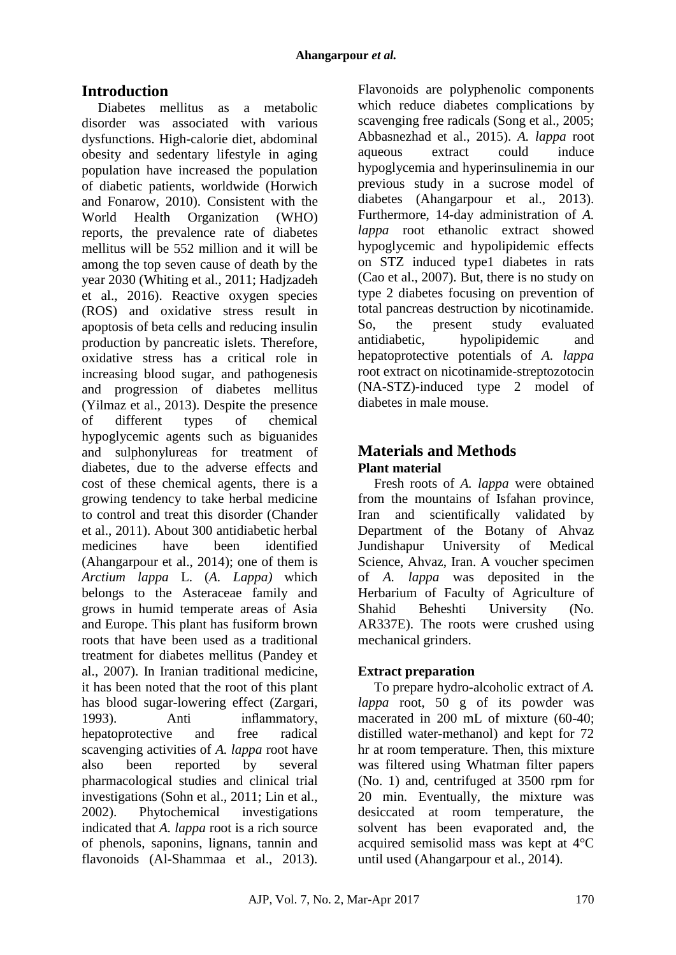# **Introduction**

Diabetes mellitus as a metabolic disorder was associated with various dysfunctions. High-calorie diet, abdominal obesity and sedentary lifestyle in aging population have increased the population of diabetic patients, worldwide [\(Horwich](http://www.ncbi.nlm.nih.gov/pubmed/?term=Horwich%20TB%5BAuthor%5D&cauthor=true&cauthor_uid=20117431) and [Fonarow,](http://www.ncbi.nlm.nih.gov/pubmed/?term=Fonarow%20GC%5BAuthor%5D&cauthor=true&cauthor_uid=20117431) 2010). Consistent with the World Health Organization (WHO) reports, the prevalence rate of diabetes mellitus will be 552 million and it will be among the top seven cause of death by the year 2030 (Whiting et al., 2011; Hadjzadeh et al., 2016). Reactive oxygen species (ROS) and oxidative stress result in apoptosis of beta cells and reducing insulin production by pancreatic islets. Therefore, oxidative stress has a critical role in increasing blood sugar, and pathogenesis and progression of diabetes mellitus (Yilmaz et al., 2013). Despite the presence of different types of chemical hypoglycemic agents such as biguanides and sulphonylureas for treatment of diabetes, due to the adverse effects and cost of these chemical agents, there is a growing tendency to take herbal medicine to control and treat this disorder (Chander et al., 2011). About 300 antidiabetic herbal medicines have been identified (Ahangarpour et al., 2014); one of them is *Arctium lappa* L. (*A. Lappa)* which belongs to the Asteraceae family and grows in humid temperate areas of Asia and Europe. This plant has fusiform brown roots that have been used as a traditional treatment for diabetes mellitus (Pandey et al., 2007). In Iranian traditional medicine, it has been noted that the root of this plant has blood sugar-lowering effect (Zargari, 1993). Anti inflammatory, hepatoprotective and free radical scavenging activities of *A. lappa* root have also been reported by several pharmacological studies and clinical trial investigations (Sohn et al., 2011; Lin et al., 2002). Phytochemical investigations indicated that *A. lappa* root is a rich source of phenols, saponins, lignans, tannin and flavonoids (Al-Shammaa et al., 2013).

Flavonoids are polyphenolic components which reduce diabetes complications by scavenging free radicals (Song et al., 2005; Abbasnezhad et al., 2015). *A. lappa* root aqueous extract could induce hypoglycemia and hyperinsulinemia in our previous study in a sucrose model of diabetes (Ahangarpour et al., 2013). Furthermore, 14-day administration of *A. lappa* root ethanolic extract showed hypoglycemic and hypolipidemic effects on STZ induced type1 diabetes in rats (Cao et al., 2007). But, there is no study on type 2 diabetes focusing on prevention of total pancreas destruction by nicotinamide. So, the present study evaluated antidiabetic, hypolipidemic and hepatoprotective potentials of *A. lappa* root extract on nicotinamide-streptozotocin (NA-STZ)-induced type 2 model of diabetes in male mouse.

## **Materials and Methods Plant material**

Fresh roots of *A. lappa* were obtained from the mountains of Isfahan province, Iran and scientifically validated by Department of the Botany of Ahvaz Jundishapur University of Medical Science, Ahvaz, Iran. A voucher specimen of *A. lappa* was deposited in the Herbarium of Faculty of Agriculture of Shahid Beheshti University (No. AR337E). The roots were crushed using mechanical grinders.

## **Extract preparation**

To prepare hydro-alcoholic extract of *A. lappa* root, 50 g of its powder was macerated in 200 mL of mixture (60-40; distilled water-methanol) and kept for 72 hr at room temperature. Then, this mixture was filtered using Whatman filter papers (No. 1) and, centrifuged at 3500 rpm for 20 min. Eventually, the mixture was desiccated at room temperature, the solvent has been evaporated and, the acquired semisolid mass was kept at 4°C until used (Ahangarpour et al., 2014).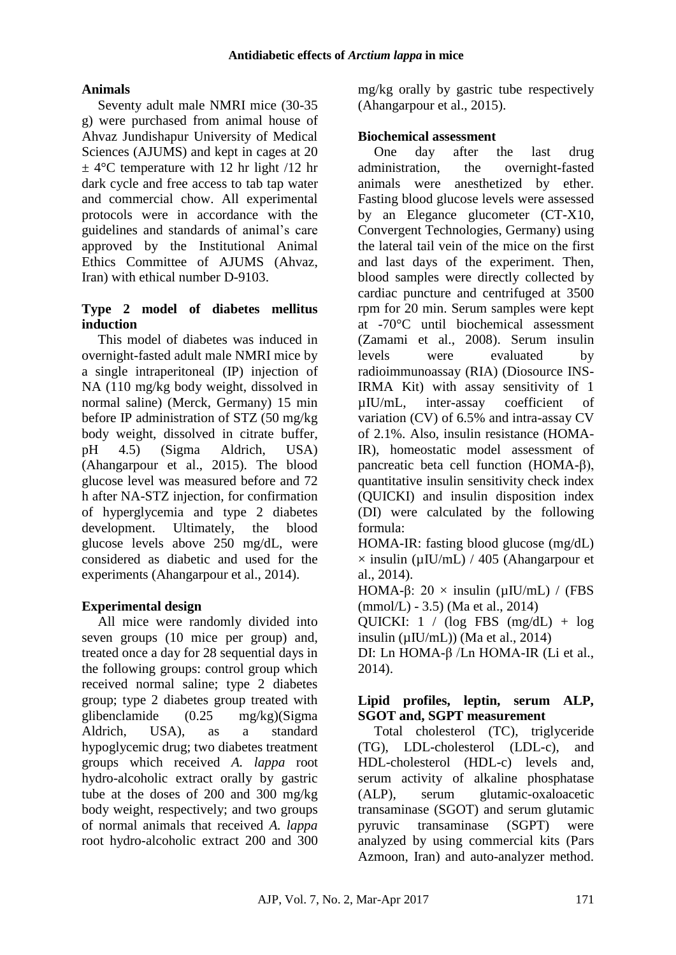### **Animals**

Seventy adult male NMRI mice (30-35 g) were purchased from animal house of Ahvaz Jundishapur University of Medical Sciences (AJUMS) and kept in cages at 20  $\pm$  4°C temperature with 12 hr light /12 hr dark cycle and free access to tab tap water and commercial chow. All experimental protocols were in accordance with the guidelines and standards of animal's care approved by the Institutional Animal Ethics Committee of AJUMS (Ahvaz, Iran) with ethical number D-9103.

#### **Type 2 model of diabetes mellitus induction**

This model of diabetes was induced in overnight-fasted adult male NMRI mice by a single intraperitoneal (IP) injection of NA (110 mg/kg body weight, dissolved in normal saline) (Merck, Germany) 15 min before IP administration of STZ (50 mg/kg body weight, dissolved in citrate buffer, pH 4.5) (Sigma Aldrich, USA) (Ahangarpour et al., 2015). The blood glucose level was measured before and 72 h after NA-STZ injection, for confirmation of hyperglycemia and type 2 diabetes development. Ultimately, the blood glucose levels above 250 mg/dL, were considered as diabetic and used for the experiments (Ahangarpour et al., 2014).

## **Experimental design**

All mice were randomly divided into seven groups (10 mice per group) and, treated once a day for 28 sequential days in the following groups: control group which received normal saline; type 2 diabetes group; type 2 diabetes group treated with glibenclamide (0.25 mg/kg)(Sigma Aldrich, USA), as a standard hypoglycemic drug; two diabetes treatment groups which received *A. lappa* root hydro-alcoholic extract orally by gastric tube at the doses of 200 and 300 mg/kg body weight, respectively; and two groups of normal animals that received *A. lappa* root hydro-alcoholic extract 200 and 300 mg/kg orally by gastric tube respectively (Ahangarpour et al., 2015).

### **Biochemical assessment**

One day after the last drug administration, the overnight-fasted animals were anesthetized by ether. Fasting blood glucose levels were assessed by an Elegance glucometer (CT-X10, Convergent Technologies, Germany) using the lateral tail vein of the mice on the first and last days of the experiment. Then, blood samples were directly collected by cardiac puncture and centrifuged at 3500 rpm for 20 min. Serum samples were kept at -70°C until biochemical assessment (Zamami et al., 2008). Serum insulin levels were evaluated by radioimmunoassay (RIA) (Diosource INS-IRMA Kit) with assay sensitivity of 1 µIU/mL, inter-assay coefficient of variation (CV) of 6.5% and intra-assay CV of 2.1%. Also, insulin resistance (HOMA-IR), homeostatic model assessment of pancreatic beta cell function (HOMA-β), quantitative insulin sensitivity check index (QUICKI) and insulin disposition index (DI) were calculated by the following formula:

HOMA-IR: fasting blood glucose (mg/dL)  $\times$  insulin ( $\mu$ IU/mL) / 405 (Ahangarpour et al., 2014).

HOMA-β:  $20 \times$  insulin (μIU/mL) / (FBS (mmol/L) - 3.5) (Ma et al., 2014)

QUICKI:  $1 / (\log FBS (mg/dL) + \log$ insulin  $(\mu I U/mL)$  (Ma et al., 2014)

DI: Ln HOMA-β /Ln HOMA-IR (Li et al., 2014).

### **Lipid profiles, leptin, serum ALP, SGOT and, SGPT measurement**

Total cholesterol (TC), triglyceride (TG), LDL-cholesterol (LDL-c), and HDL-cholesterol (HDL-c) levels and, serum activity of alkaline phosphatase (ALP), serum glutamic-oxaloacetic transaminase (SGOT) and serum glutamic pyruvic transaminase (SGPT) were analyzed by using commercial kits (Pars Azmoon, Iran) and auto-analyzer method.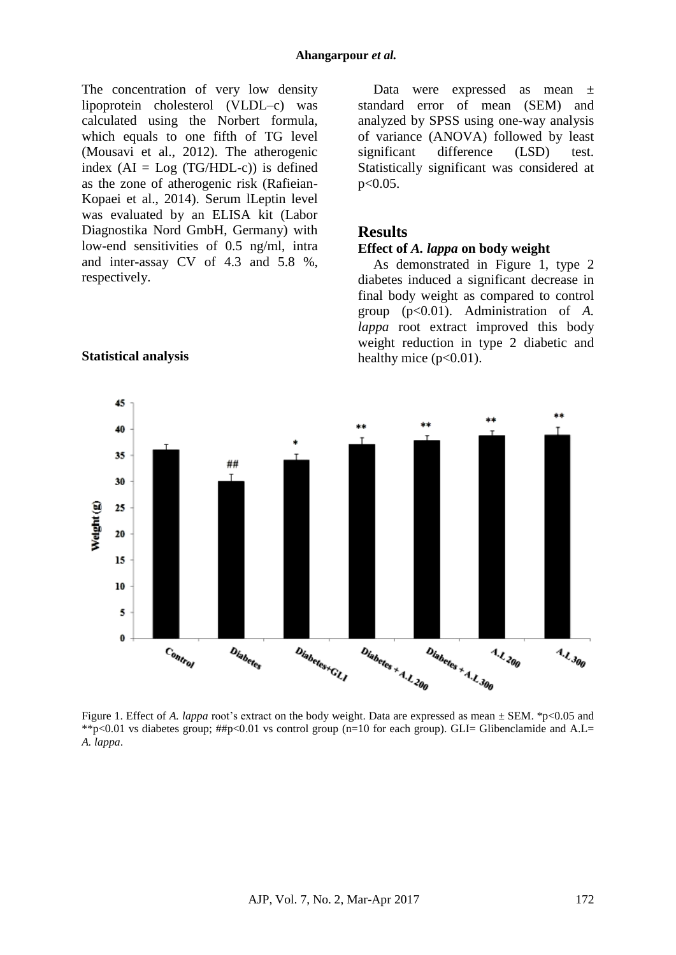The concentration of very low density lipoprotein cholesterol (VLDL–c) was calculated using the Norbert formula, which equals to one fifth of TG level (Mousavi et al., 2012). The atherogenic index  $(AI = Log (TG/HDL-c))$  is defined as the zone of atherogenic risk (Rafieian-Kopaei et al., 2014). Serum lLeptin level was evaluated by an ELISA kit (Labor Diagnostika Nord GmbH, Germany) with low-end sensitivities of 0.5 ng/ml, intra and inter-assay CV of 4.3 and 5.8 %, respectively.

**Statistical analysis**

Data were expressed as mean ± standard error of mean (SEM) and analyzed by SPSS using one-way analysis of variance (ANOVA) followed by least significant difference (LSD) test. Statistically significant was considered at p<0.05.

#### **Results**

#### **Effect of** *A. lappa* **on body weight**

As demonstrated in Figure 1, type 2 diabetes induced a significant decrease in final body weight as compared to control group (p<0.01). Administration of *A. lappa* root extract improved this body weight reduction in type 2 diabetic and healthy mice  $(p<0.01)$ .



Figure 1. Effect of *A. lappa* root's extract on the body weight. Data are expressed as mean  $\pm$  SEM. \*p<0.05 and \*\*p<0.01 vs diabetes group;  $\#p$ <0.01 vs control group (n=10 for each group). GLI= Glibenclamide and A.L= *A. lappa*.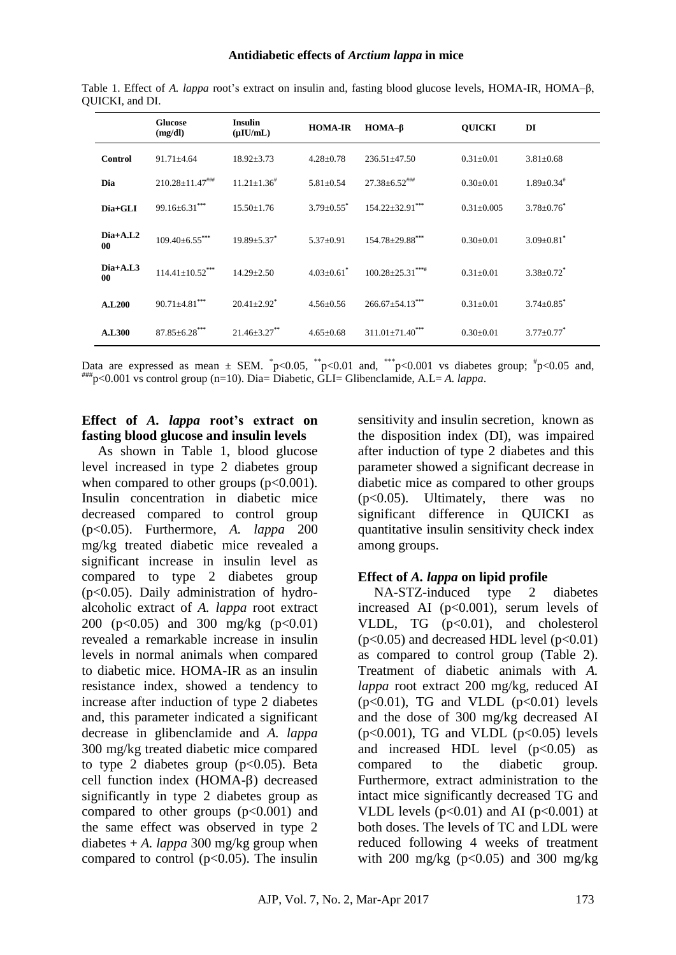|                         | <b>Glucose</b><br>(mg/dl) | <b>Insulin</b><br>$(\mu I U/mL)$ | <b>HOMA-IR</b>               | $HOMA-\beta$           | <b>QUICKI</b>    | DI                           |
|-------------------------|---------------------------|----------------------------------|------------------------------|------------------------|------------------|------------------------------|
| <b>Control</b>          | $91.71 \pm 4.64$          | $18.92 \pm 3.73$                 | $4.28 \pm 0.78$              | $236.51 \pm 47.50$     | $0.31 \pm 0.01$  | $3.81 \pm 0.68$              |
| Dia                     | $210.28 \pm 11.47$ ****   | $11.21 \pm 1.36^{\text{*}}$      | $5.81 \pm 0.54$              | $27.38 \pm 6.52$ ***** | $0.30 \pm 0.01$  | $1.89 \pm 0.34$ <sup>#</sup> |
| Dia+GLI                 | $99.16 \pm 6.31***$       | $15.50 \pm 1.76$                 | $3.79 + 0.55$ <sup>*</sup>   | $154.22 \pm 32.91$ *** | $0.31 \pm 0.005$ | $3.78 \pm 0.76$ <sup>*</sup> |
| $Dia+A.L2$<br>00        | $109.40\pm 6.55***$       | $19.89 + 5.37^*$                 | $5.37 \pm 0.91$              | $154.78 \pm 29.88$ *** | $0.30 \pm 0.01$  | $3.09 \pm 0.81$ <sup>*</sup> |
| $Dia+A.L3$<br>$\bf{00}$ | $114.41+10.52***$         | $14.29 + 2.50$                   | $4.03 \pm 0.61$ <sup>*</sup> | $100.28 \pm 25.31***$  | $0.31 \pm 0.01$  | $3.38 \pm 0.72$ <sup>*</sup> |
| <b>A.L200</b>           | $90.71 \pm 4.81$ ***      | $20.41 \pm 2.92$ <sup>*</sup>    | $4.56 \pm 0.56$              | $266.67 \pm 54.13***$  | $0.31 \pm 0.01$  | $3.74 \pm 0.85$ <sup>*</sup> |
| <b>A.L300</b>           | $87.85 \pm 6.28***$       | $21.46 \pm 3.27$ **              | $4.65 \pm 0.68$              | $311.01 \pm 71.40$ *** | $0.30 \pm 0.01$  | $3.77 \pm 0.77$ <sup>*</sup> |

Table 1. Effect of *A. lappa* root's extract on insulin and, fasting blood glucose levels, HOMA-IR, HOMA–β, QUICKI, and DI.

Data are expressed as mean  $\pm$  SEM.  $p<0.05$ ,  $p<0.01$  and,  $p<0.001$  vs diabetes group;  $p<0.05$  and, ###p<0.001 vs control group (n=10). Dia= Diabetic, GLI= Glibenclamide, A.L= *A. lappa*.

#### **Effect of** *A. lappa* **root's extract on fasting blood glucose and insulin levels**

As shown in Table 1, blood glucose level increased in type 2 diabetes group when compared to other groups  $(p<0.001)$ . Insulin concentration in diabetic mice decreased compared to control group (p<0.05). Furthermore, *A. lappa* 200 mg/kg treated diabetic mice revealed a significant increase in insulin level as compared to type 2 diabetes group (p<0.05). Daily administration of hydroalcoholic extract of *A. lappa* root extract 200 (p<0.05) and 300 mg/kg (p<0.01) revealed a remarkable increase in insulin levels in normal animals when compared to diabetic mice. HOMA-IR as an insulin resistance index, showed a tendency to increase after induction of type 2 diabetes and, this parameter indicated a significant decrease in glibenclamide and *A. lappa* 300 mg/kg treated diabetic mice compared to type 2 diabetes group  $(p<0.05)$ . Beta cell function index (HOMA-β) decreased significantly in type 2 diabetes group as compared to other groups  $(p<0.001)$  and the same effect was observed in type 2 diabetes  $+A$ . *lappa* 300 mg/kg group when compared to control  $(p<0.05)$ . The insulin sensitivity and insulin secretion, known as the disposition index (DI), was impaired after induction of type 2 diabetes and this parameter showed a significant decrease in diabetic mice as compared to other groups (p<0.05). Ultimately, there was no significant difference in QUICKI as quantitative insulin sensitivity check index among groups.

#### **Effect of** *A. lappa* **on lipid profile**

NA-STZ-induced type 2 diabetes increased AI ( $p<0.001$ ), serum levels of VLDL, TG  $(p<0.01)$ , and cholesterol  $(p<0.05)$  and decreased HDL level  $(p<0.01)$ as compared to control group (Table 2). Treatment of diabetic animals with *A. lappa* root extract 200 mg/kg, reduced AI  $(p<0.01)$ , TG and VLDL  $(p<0.01)$  levels and the dose of 300 mg/kg decreased AI  $(p<0.001)$ , TG and VLDL  $(p<0.05)$  levels and increased HDL level  $(p<0.05)$  as compared to the diabetic group. Furthermore, extract administration to the intact mice significantly decreased TG and VLDL levels  $(p<0.01)$  and AI  $(p<0.001)$  at both doses. The levels of TC and LDL were reduced following 4 weeks of treatment with 200 mg/kg  $(p<0.05)$  and 300 mg/kg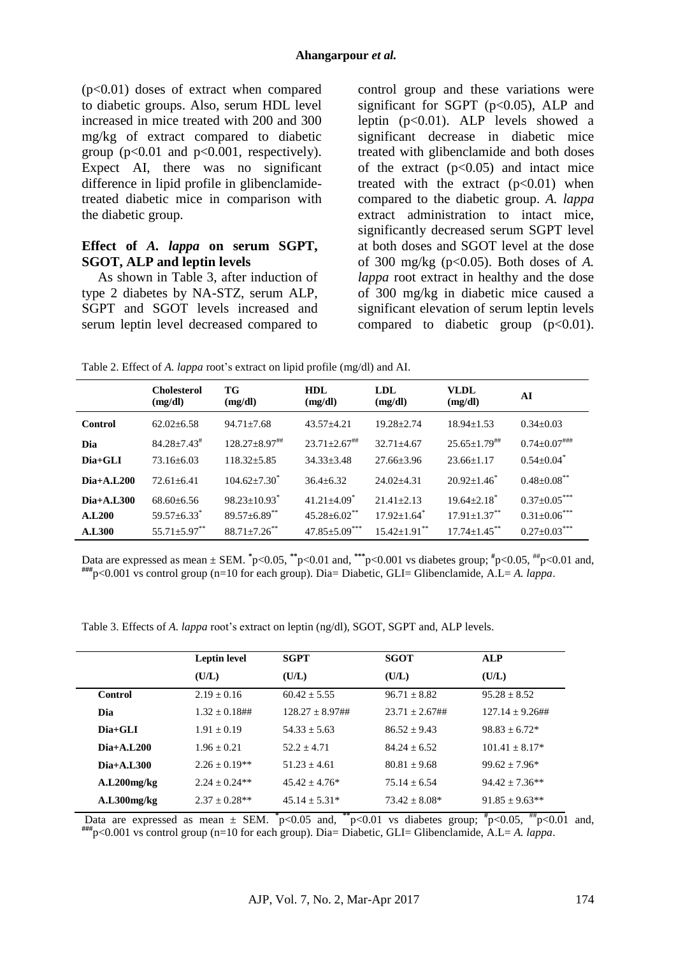$(p<0.01)$  doses of extract when compared to diabetic groups. Also, serum HDL level increased in mice treated with 200 and 300 mg/kg of extract compared to diabetic group ( $p<0.01$  and  $p<0.001$ , respectively). Expect AI, there was no significant difference in lipid profile in glibenclamidetreated diabetic mice in comparison with the diabetic group.

#### **Effect of** *A. lappa* **on serum SGPT, SGOT, ALP and leptin levels**

As shown in Table 3, after induction of type 2 diabetes by NA-STZ, serum ALP, SGPT and SGOT levels increased and serum leptin level decreased compared to control group and these variations were significant for SGPT ( $p<0.05$ ), ALP and leptin  $(p<0.01)$ . ALP levels showed a significant decrease in diabetic mice treated with glibenclamide and both doses of the extract  $(p<0.05)$  and intact mice treated with the extract  $(p<0.01)$  when compared to the diabetic group. *A. lappa* extract administration to intact mice, significantly decreased serum SGPT level at both doses and SGOT level at the dose of 300 mg/kg (p<0.05). Both doses of *A. lappa* root extract in healthy and the dose of 300 mg/kg in diabetic mice caused a significant elevation of serum leptin levels compared to diabetic group  $(p<0.01)$ .

Table 2. Effect of *A. lappa* root's extract on lipid profile (mg/dl) and AI.

|                    | <b>Cholesterol</b><br>(mg/dl) | TG<br>(mg/dl)                   | HDL<br>(mg/dl)                | <b>LDL</b><br>(mg/dl)          | <b>VLDL</b><br>(mg/dl)        | AI                           |
|--------------------|-------------------------------|---------------------------------|-------------------------------|--------------------------------|-------------------------------|------------------------------|
| Control            | $62.02 + 6.58$                | $94.71 + 7.68$                  | $43.57 + 4.21$                | $19.28 + 2.74$                 | $18.94 + 1.53$                | $0.34 + 0.03$                |
| Dia                | $84.28 + 7.43^{\#}$           | $128.27 \pm 8.97$ <sup>##</sup> | $23.71 \pm 2.67$ ##           | $32.71 + 4.67$                 | $25.65 + 1.79^{\text{***}}$   | $0.74 \pm 0.07$ ###          |
| $Dia+GLI$          | $73.16 + 6.03$                | $118.32 + 5.85$                 | $34.33 + 3.48$                | $27.66 + 3.96$                 | $23.66 + 1.17$                | $0.54 \pm 0.04$ <sup>*</sup> |
| $Dia+A.L.200$      | $72.61 + 6.41$                | $104.62 + 7.30^*$               | $36.4 + 6.32$                 | $24.02 + 4.31$                 | $20.92 \pm 1.46^*$            | $0.48{\pm}0.08^{**}$         |
| $Di_{a+A,I.300}$   | $68.60 + 6.56$                | $98.23 \pm 10.93$ <sup>*</sup>  | $41.21 \pm 4.09$ <sup>*</sup> | $21.41 + 2.13$                 | $19.64 \pm 2.18$ <sup>*</sup> | $0.37 \pm 0.05$ ***          |
| A.L <sub>200</sub> | $59.57 \pm 6.33$ <sup>*</sup> | $89.57 \pm 6.89$ **             | $45.28 \pm 6.02$ **           | $17.92 + 1.64$ <sup>*</sup>    | $17.91 + 1.37***$             | $0.31 \pm 0.06***$           |
| A.L <sub>300</sub> | $55.71 \pm 5.97$ **           | $88.71 \pm 7.26$ **             | $47.85 \pm 5.09$ ***          | $15.42 \pm 1.91$ <sup>**</sup> | $17.74 \pm 1.45$ **           | $0.27{\pm}0.03^{***}$        |

Data are expressed as mean  $\pm$  SEM.  $p<0.05$ ,  $p<0.01$  and,  $p<0.001$  vs diabetes group;  $p<0.05$ ,  $p<0.01$  and, **###**p<0.001 vs control group (n=10 for each group). Dia= Diabetic, GLI= Glibenclamide, A.L= *A. lappa*.

Table 3. Effects of *A. lappa* root's extract on leptin (ng/dl), SGOT, SGPT and, ALP levels.

| <b>Leptin level</b> | <b>SGPT</b>          | <b>SGOT</b>       | <b>ALP</b>          |
|---------------------|----------------------|-------------------|---------------------|
| (U/L)               | (U/L)                | (U/L)             | (U/L)               |
| $2.19 + 0.16$       | $60.42 + 5.55$       | $96.71 + 8.82$    | $95.28 + 8.52$      |
| $1.32 + 0.18$ ##    | $128.27 \pm 8.97$ ## | $23.71 + 2.67$ ## | $127.14 + 9.26$ ##  |
| $1.91 \pm 0.19$     | $54.33 + 5.63$       | $86.52 + 9.43$    | $98.83 + 6.72*$     |
| $1.96 + 0.21$       | $52.2 + 4.71$        | $84.24 + 6.52$    | $101.41 + 8.17*$    |
| $2.26 \pm 0.19**$   | $51.23 + 4.61$       | $80.81 + 9.68$    | $99.62 + 7.96*$     |
| $2.24 \pm 0.24**$   | $45.42 + 4.76*$      | $75.14 + 6.54$    | $94.42 + 7.36**$    |
| $2.37 + 0.28**$     | $45.14 + 5.31*$      | $73.42 + 8.08*$   | $91.85 \pm 9.63$ ** |
|                     |                      |                   |                     |

Data are expressed as mean  $\pm$  SEM.  $\degree$ p<0.05 and,  $\degree$ <sup>\*</sup>p<0.01 vs diabetes group;  $\degree$ p<0.05,  $\degree$ #p<0.01 and, **###**p<0.001 vs control group (n=10 for each group). Dia= Diabetic, GLI= Glibenclamide, A.L= *A. lappa*.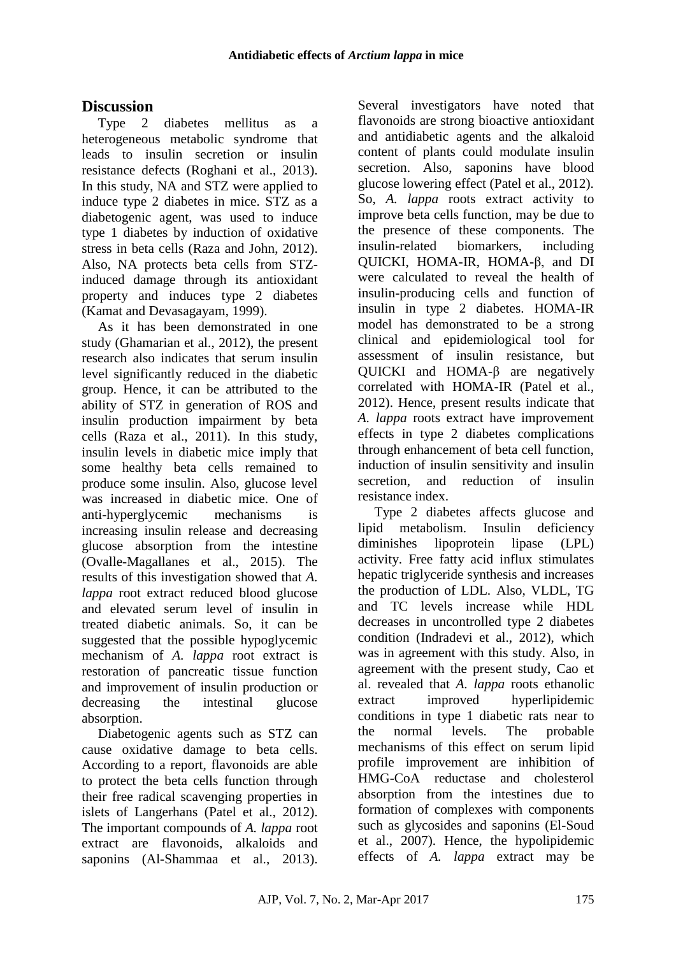## **Discussion**

Type 2 diabetes mellitus as a heterogeneous metabolic syndrome that leads to insulin secretion or insulin resistance defects (Roghani et al., 2013). In this study, NA and STZ were applied to induce type 2 diabetes in mice. STZ as a diabetogenic agent, was used to induce type 1 diabetes by induction of oxidative stress in beta cells [\(Raza](http://www.ncbi.nlm.nih.gov/pubmed/?term=Raza%20H%5BAuthor%5D&cauthor=true&cauthor_uid=22754329) and [John,](http://www.ncbi.nlm.nih.gov/pubmed/?term=John%20A%5BAuthor%5D&cauthor=true&cauthor_uid=22754329) 2012). Also, NA protects beta cells from STZinduced damage through its antioxidant property and induces type 2 diabetes [\(Kamat](http://www.ncbi.nlm.nih.gov/pubmed/?term=Kamat%20JP%5BAuthor%5D&cauthor=true&cauthor_uid=10658823) and [Devasagayam,](http://www.ncbi.nlm.nih.gov/pubmed/?term=Devasagayam%20TP%5BAuthor%5D&cauthor=true&cauthor_uid=10658823) 1999).

As it has been demonstrated in one study (Ghamarian et al., 2012), the present research also indicates that serum insulin level significantly reduced in the diabetic group. Hence, it can be attributed to the ability of STZ in generation of ROS and insulin production impairment by beta cells (Raza et al., 2011). In this study, insulin levels in diabetic mice imply that some healthy beta cells remained to produce some insulin. Also, glucose level was increased in diabetic mice. One of anti-hyperglycemic mechanisms is increasing insulin release and decreasing glucose absorption from the intestine (Ovalle-Magallanes et al., 2015). The results of this investigation showed that *A. lappa* root extract reduced blood glucose and elevated serum level of insulin in treated diabetic animals. So, it can be suggested that the possible hypoglycemic mechanism of *A. lappa* root extract is restoration of pancreatic tissue function and improvement of insulin production or decreasing the intestinal glucose absorption.

Diabetogenic agents such as STZ can cause oxidative damage to beta cells. According to a report, flavonoids are able to protect the beta cells function through their free radical scavenging properties in islets of Langerhans (Patel et al., 2012). The important compounds of *A. lappa* root extract are flavonoids, alkaloids and saponins (Al-Shammaa et al., 2013).

Several investigators have noted that flavonoids are strong bioactive antioxidant and antidiabetic agents and the alkaloid content of plants could modulate insulin secretion. Also, saponins have blood glucose lowering effect (Patel et al., 2012). So, *A. lappa* roots extract activity to improve beta cells function, may be due to the presence of these components. The insulin-related biomarkers, including QUICKI, HOMA-IR, HOMA-β, and DI were calculated to reveal the health of insulin-producing cells and function of insulin in type 2 diabetes. HOMA-IR model has demonstrated to be a strong clinical and epidemiological tool for assessment of insulin resistance, but QUICKI and HOMA-β are negatively correlated with HOMA-IR (Patel et al., 2012). Hence, present results indicate that *A. lappa* roots extract have improvement effects in type 2 diabetes complications through enhancement of beta cell function, induction of insulin sensitivity and insulin secretion, and reduction of insulin resistance index.

Type 2 diabetes affects glucose and lipid metabolism. Insulin deficiency diminishes lipoprotein lipase (LPL) activity. Free fatty acid influx stimulates hepatic triglyceride synthesis and increases the production of LDL. Also, VLDL, TG and TC levels increase while HDL decreases in uncontrolled type 2 diabetes condition (Indradevi et al., 2012), which was in agreement with this study. Also, in agreement with the present study, Cao et al. revealed that *A. lappa* roots ethanolic extract improved hyperlipidemic conditions in type 1 diabetic rats near to the normal levels. The probable mechanisms of this effect on serum lipid profile improvement are inhibition of HMG-CoA reductase and cholesterol absorption from the intestines due to formation of complexes with components such as glycosides and saponins (El-Soud et al., 2007). Hence, the hypolipidemic effects of *A. lappa* extract may be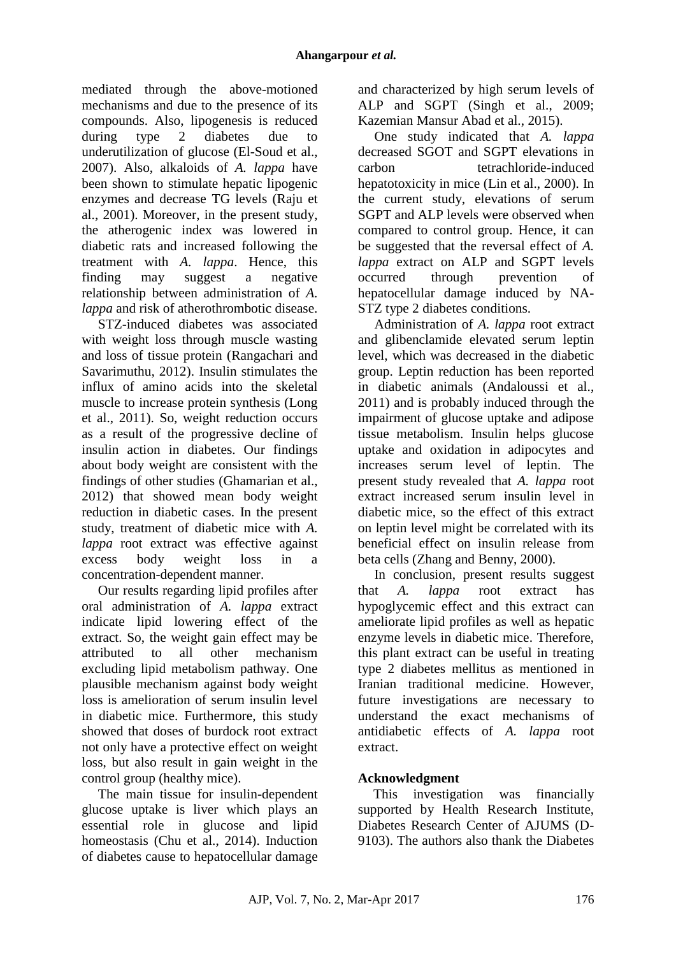mediated through the above-motioned mechanisms and due to the presence of its compounds. Also, lipogenesis is reduced during type 2 diabetes due to underutilization of glucose (El-Soud et al., 2007). Also, alkaloids of *A. lappa* have been shown to stimulate hepatic lipogenic enzymes and decrease TG levels (Raju et al., 2001). Moreover, in the present study, the atherogenic index was lowered in diabetic rats and increased following the treatment with *A. lappa*. Hence, this finding may suggest a negative relationship between administration of *A. lappa* and risk of atherothrombotic disease.

STZ-induced diabetes was associated with weight loss through muscle wasting and loss of tissue protein (Rangachari and Savarimuthu, 2012). Insulin stimulates the influx of amino acids into the skeletal muscle to increase protein synthesis (Long et al., 2011). So, weight reduction occurs as a result of the progressive decline of insulin action in diabetes. Our findings about body weight are consistent with the findings of other studies (Ghamarian et al., 2012) that showed mean body weight reduction in diabetic cases. In the present study, treatment of diabetic mice with *A. lappa* root extract was effective against excess body weight loss in a concentration-dependent manner.

Our results regarding lipid profiles after oral administration of *A. lappa* extract indicate lipid lowering effect of the extract. So, the weight gain effect may be attributed to all other mechanism excluding lipid metabolism pathway. One plausible mechanism against body weight loss is amelioration of serum insulin level in diabetic mice. Furthermore, this study showed that doses of burdock root extract not only have a protective effect on weight loss, but also result in gain weight in the control group (healthy mice).

The main tissue for insulin-dependent glucose uptake is liver which plays an essential role in glucose and lipid homeostasis (Chu et al., 2014). Induction of diabetes cause to hepatocellular damage

and characterized by high serum levels of ALP and SGPT (Singh et al., 2009; Kazemian Mansur Abad et al., 2015).

One study indicated that *A. lappa* decreased SGOT and SGPT elevations in carbon tetrachloride-induced hepatotoxicity in mice (Lin et al., 2000). In the current study, elevations of serum SGPT and ALP levels were observed when compared to control group. Hence, it can be suggested that the reversal effect of *A. lappa* extract on ALP and SGPT levels occurred through prevention of hepatocellular damage induced by NA-STZ type 2 diabetes conditions.

Administration of *A. lappa* root extract and glibenclamide elevated serum leptin level, which was decreased in the diabetic group. Leptin reduction has been reported in diabetic animals (Andaloussi et al., 2011) and is probably induced through the impairment of glucose uptake and adipose tissue metabolism. Insulin helps glucose uptake and oxidation in adipocytes and increases serum level of leptin. The present study revealed that *A. lappa* root extract increased serum insulin level in diabetic mice, so the effect of this extract on leptin level might be correlated with its beneficial effect on insulin release from beta cells (Zhang and Benny, 2000).

In conclusion, present results suggest that *A. lappa* root extract has hypoglycemic effect and this extract can ameliorate lipid profiles as well as hepatic enzyme levels in diabetic mice. Therefore, this plant extract can be useful in treating type 2 diabetes mellitus as mentioned in Iranian traditional medicine. However, future investigations are necessary to understand the exact mechanisms of antidiabetic effects of *A. lappa* root extract.

## **Acknowledgment**

This investigation was financially supported by Health Research Institute, Diabetes Research Center of AJUMS (D-9103). The authors also thank the Diabetes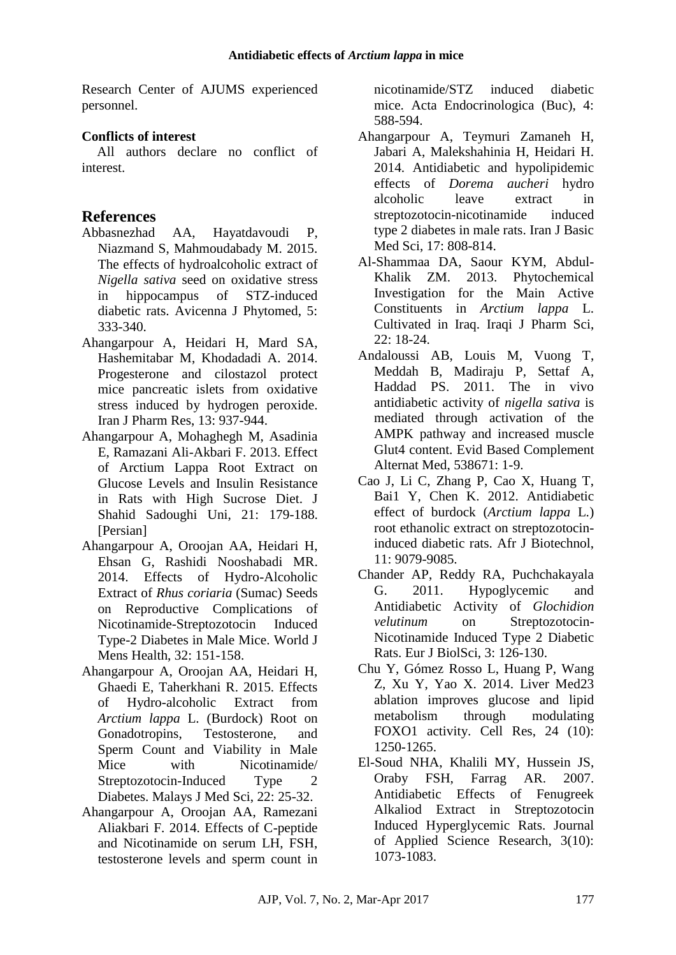Research Center of AJUMS experienced personnel.

### **Conflicts of interest**

All authors declare no conflict of interest.

## **References**

- Abbasnezhad AA, Hayatdavoudi P, Niazmand S, Mahmoudabady M. 2015. The effects of hydroalcoholic extract of *Nigella sativa* seed on oxidative stress in hippocampus of STZ-induced diabetic rats. Avicenna J Phytomed, 5: 333-340.
- [Ahangarpour A,](http://www.ncbi.nlm.nih.gov/pubmed/?term=Ahangarpour%20A%5BAuthor%5D&cauthor=true&cauthor_uid=25276194) [Heidari H,](http://www.ncbi.nlm.nih.gov/pubmed/?term=Heidari%20H%5BAuthor%5D&cauthor=true&cauthor_uid=25276194) [Mard SA,](http://www.ncbi.nlm.nih.gov/pubmed/?term=Mard%20SA%5BAuthor%5D&cauthor=true&cauthor_uid=25276194) [Hashemitabar M,](http://www.ncbi.nlm.nih.gov/pubmed/?term=Hashemitabar%20M%5BAuthor%5D&cauthor=true&cauthor_uid=25276194) [Khodadadi A.](http://www.ncbi.nlm.nih.gov/pubmed/?term=Khodadadi%20A%5BAuthor%5D&cauthor=true&cauthor_uid=25276194) 2014. Progesterone and cilostazol protect mice pancreatic islets from oxidative stress induced by hydrogen peroxide. [Iran J Pharm Res,](http://ijpr./) 13: 937-944.
- Ahangarpour A, Mohaghegh M, Asadinia E, Ramazani Ali-Akbari F. 2013. Effect of Arctium Lappa Root Extract on Glucose Levels and Insulin Resistance in Rats with High Sucrose Diet. J Shahid Sadoughi Uni, 21: 179-188. [Persian]
- [Ahangarpour A](http://www.ncbi.nlm.nih.gov/pubmed/?term=Ahangarpour%20A%5BAuthor%5D&cauthor=true&cauthor_uid=25606564), [Oroojan AA,](http://www.ncbi.nlm.nih.gov/pubmed/?term=Oroojan%20AA%5BAuthor%5D&cauthor=true&cauthor_uid=25606564) Heidari H, [Ehsan G,](http://www.ncbi.nlm.nih.gov/pubmed/?term=Ehsan%20G%5BAuthor%5D&cauthor=true&cauthor_uid=25606564) [Rashidi Nooshabadi MR.](http://www.ncbi.nlm.nih.gov/pubmed/?term=Rashidi%20Nooshabadi%20MR%5BAuthor%5D&cauthor=true&cauthor_uid=25606564) 2014. Effects of Hydro-Alcoholic Extract of *Rhus coriaria* (Sumac) Seeds on Reproductive Complications of Nicotinamide-Streptozotocin Induced Type-2 Diabetes in Male Mice. [World J](http://health./)  [Mens Health,](http://health./) 32: 151-158.
- Ahangarpour A, Oroojan AA, Heidari H, Ghaedi E, Taherkhani R. 2015. Effects of Hydro-alcoholic Extract from *Arctium lappa* L. (Burdock) Root on Gonadotropins, Testosterone, and Sperm Count and Viability in Male Mice with Nicotinamide/ Streptozotocin-Induced Type 2 Diabetes. Malays J Med Sci, 22: 25-32.
- Ahangarpour A, Oroojan AA, Ramezani Aliakbari F. 2014. Effects of C-peptide and Nicotinamide on serum LH, FSH, testosterone levels and sperm count in

nicotinamide/STZ induced diabetic mice. Acta Endocrinologica (Buc), 4: 588-594.

- Ahangarpour A, Teymuri Zamaneh H, Jabari A, Malekshahinia H, Heidari H. 2014. Antidiabetic and hypolipidemic effects of *Dorema aucheri* hydro alcoholic leave extract in streptozotocin-nicotinamide induced type 2 diabetes in male rats. Iran J Basic Med Sci, 17: 808-814.
- Al-Shammaa DA, Saour KYM, Abdul-Khalik ZM. 2013. Phytochemical Investigation for the Main Active Constituents in *Arctium lappa* L. Cultivated in Iraq. Iraqi J Pharm Sci, 22: 18-24.
- Andaloussi AB, Louis M, Vuong T, [Meddah B,](http://www.ncbi.nlm.nih.gov/pubmed/?term=Meddah%20B%5BAuthor%5D&cauthor=true&cauthor_uid=21584245) [Madiraju P,](http://www.ncbi.nlm.nih.gov/pubmed/?term=Madiraju%20P%5BAuthor%5D&cauthor=true&cauthor_uid=21584245) [Settaf A,](http://www.ncbi.nlm.nih.gov/pubmed/?term=Settaf%20A%5BAuthor%5D&cauthor=true&cauthor_uid=21584245) [Haddad PS.](http://www.ncbi.nlm.nih.gov/pubmed/?term=Haddad%20PS%5BAuthor%5D&cauthor=true&cauthor_uid=21584245) 2011. The in vivo antidiabetic activity of *nigella sativa* is mediated through activation of the AMPK pathway and increased muscle Glut4 content. Evid Based Complement Alternat Med, 538671: 1-9.
- Cao J, Li C, Zhang P, Cao X, Huang T, Bai1 Y, Chen K. 2012. Antidiabetic effect of burdock (*Arctium lappa* L.) root ethanolic extract on streptozotocininduced diabetic rats. Afr J Biotechnol, 11: 9079-9085.
- Chander AP, Reddy RA, Puchchakayala G. 2011. Hypoglycemic and Antidiabetic Activity of *Glochidion velutinum* on Streptozotocin-Nicotinamide Induced Type 2 Diabetic Rats. Eur J BiolSci, 3: 126-130.
- [Chu Y,](http://www.ncbi.nlm.nih.gov/pubmed/?term=Chu%20Y%5BAuthor%5D&cauthor=true&cauthor_uid=25223702) [Gómez Rosso L,](http://www.ncbi.nlm.nih.gov/pubmed/?term=G%C3%B3mez%20Rosso%20L%5BAuthor%5D&cauthor=true&cauthor_uid=25223702) [Huang P,](http://www.ncbi.nlm.nih.gov/pubmed/?term=Huang%20P%5BAuthor%5D&cauthor=true&cauthor_uid=25223702) [Wang](http://www.ncbi.nlm.nih.gov/pubmed/?term=Wang%20Z%5BAuthor%5D&cauthor=true&cauthor_uid=25223702)  [Z,](http://www.ncbi.nlm.nih.gov/pubmed/?term=Wang%20Z%5BAuthor%5D&cauthor=true&cauthor_uid=25223702) [Xu Y,](http://www.ncbi.nlm.nih.gov/pubmed/?term=Xu%20Y%5BAuthor%5D&cauthor=true&cauthor_uid=25223702) [Yao X.](http://www.ncbi.nlm.nih.gov/pubmed/?term=Yao%20X%5BAuthor%5D&cauthor=true&cauthor_uid=25223702) 2014. Liver Med23 ablation improves glucose and lipid metabolism through modulating FOXO1 activity. [Cell Res,](http://research./) 24 (10): 1250-1265.
- El-Soud NHA, Khalili MY, Hussein JS, Oraby FSH, Farrag AR. 2007. Antidiabetic Effects of Fenugreek Alkaliod Extract in Streptozotocin Induced Hyperglycemic Rats. Journal of Applied Science Research, 3(10): 1073-1083.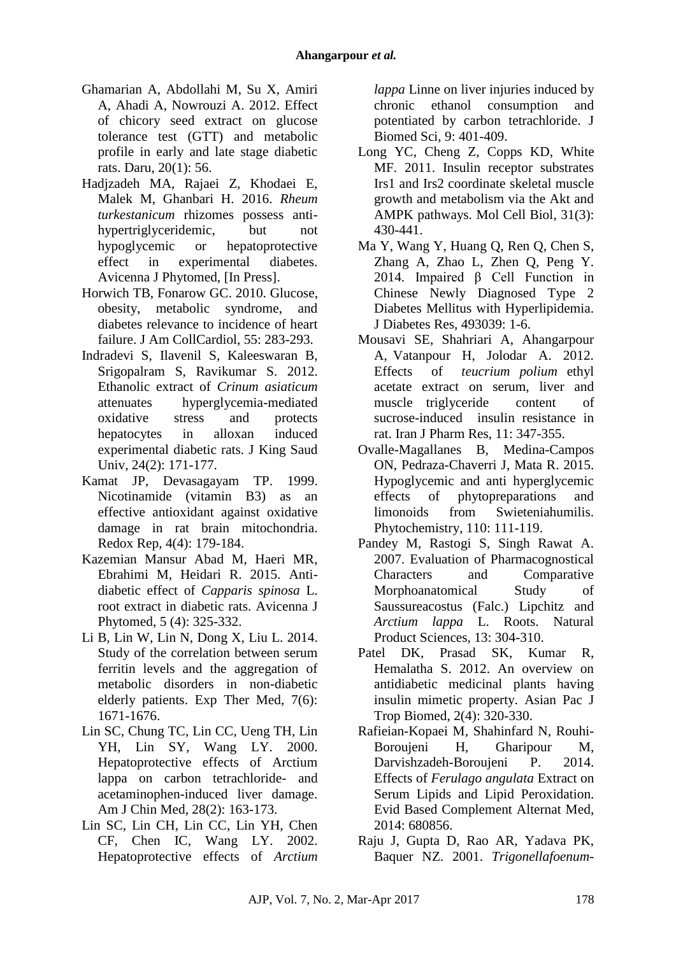- [Ghamarian A,](http://www.ncbi.nlm.nih.gov/pubmed/?term=Ghamarian%20A%5BAuthor%5D&cauthor=true&cauthor_uid=23352214) [Abdollahi M,](http://www.ncbi.nlm.nih.gov/pubmed/?term=Abdollahi%20M%5BAuthor%5D&cauthor=true&cauthor_uid=23352214) [Su X,](http://www.ncbi.nlm.nih.gov/pubmed/?term=Su%20X%5BAuthor%5D&cauthor=true&cauthor_uid=23352214) [Amiri](http://www.ncbi.nlm.nih.gov/pubmed/?term=Amiri%20A%5BAuthor%5D&cauthor=true&cauthor_uid=23352214)  [A,](http://www.ncbi.nlm.nih.gov/pubmed/?term=Amiri%20A%5BAuthor%5D&cauthor=true&cauthor_uid=23352214) [Ahadi A,](http://www.ncbi.nlm.nih.gov/pubmed/?term=Ahadi%20A%5BAuthor%5D&cauthor=true&cauthor_uid=23352214) [Nowrouzi A.](http://www.ncbi.nlm.nih.gov/pubmed/?term=Nowrouzi%20A%5BAuthor%5D&cauthor=true&cauthor_uid=23352214) 2012. Effect of chicory seed extract on glucose tolerance test (GTT) and metabolic profile in early and late stage diabetic rats. [Daru,](http://sciences./) 20(1): 56.
- Hadjzadeh MA, Rajaei Z, Khodaei E, Malek M, Ghanbari H. 2016. *Rheum turkestanicum* rhizomes possess antihypertriglyceridemic, but not hypoglycemic or hepatoprotective effect in experimental diabetes. Avicenna J Phytomed, [In Press].
- [Horwich TB,](http://www.ncbi.nlm.nih.gov/pubmed/?term=Horwich%20TB%5BAuthor%5D&cauthor=true&cauthor_uid=20117431) [Fonarow GC.](http://www.ncbi.nlm.nih.gov/pubmed/?term=Fonarow%20GC%5BAuthor%5D&cauthor=true&cauthor_uid=20117431) 2010. Glucose, obesity, metabolic syndrome, and diabetes relevance to incidence of heart failure. [J Am CollCardiol,](http://cardiology./) 55: 283-293.
- Indradevi [S, I](http://www.sciencedirect.com/science/article/pii/S101836471000162X)lavenil [S,](http://www.sciencedirect.com/science/article/pii/S101836471000162X) Kaleeswaran [B,](http://www.sciencedirect.com/science/article/pii/S101836471000162X) Srigopalram [S,](http://www.sciencedirect.com/science/article/pii/S101836471000162X) Ravikumar [S. 2](http://www.sciencedirect.com/science/article/pii/S101836471000162X)012. Ethanolic extract of *Crinum asiaticum* attenuates hyperglycemia-mediated oxidative stress and protects hepatocytes in alloxan induced experimental diabetic rats. J King Saud Univ, 24(2): 171-177.
- [Kamat JP,](http://www.ncbi.nlm.nih.gov/pubmed/?term=Kamat%20JP%5BAuthor%5D&cauthor=true&cauthor_uid=10658823) [Devasagayam TP.](http://www.ncbi.nlm.nih.gov/pubmed/?term=Devasagayam%20TP%5BAuthor%5D&cauthor=true&cauthor_uid=10658823) 1999. Nicotinamide (vitamin B3) as an effective antioxidant against oxidative damage in rat brain mitochondria[.](http://research./) [Redox Rep,](http://research./) 4(4): 179-184.
- Kazemian Mansur Abad M, Haeri MR, Ebrahimi M, Heidari R. 2015. Antidiabetic effect of *Capparis spinosa* L. root extract in diabetic rats. Avicenna J Phytomed, 5 (4): 325-332.
- [Li B,](http://www.ncbi.nlm.nih.gov/pubmed?term=Li%20B%5BAuthor%5D&cauthor=true&cauthor_uid=24926364) [Lin W,](http://www.ncbi.nlm.nih.gov/pubmed?term=Lin%20W%5BAuthor%5D&cauthor=true&cauthor_uid=24926364) [Lin N,](http://www.ncbi.nlm.nih.gov/pubmed?term=Lin%20N%5BAuthor%5D&cauthor=true&cauthor_uid=24926364) [Dong X,](http://www.ncbi.nlm.nih.gov/pubmed?term=Dong%20X%5BAuthor%5D&cauthor=true&cauthor_uid=24926364) [Liu L.](http://www.ncbi.nlm.nih.gov/pubmed?term=Liu%20L%5BAuthor%5D&cauthor=true&cauthor_uid=24926364) 2014. Study of the correlation between serum ferritin levels and the aggregation of metabolic disorders in non-diabetic elderly patients. [Exp Ther Med,](http://medicine./) 7(6): 1671-1676.
- [Lin SC,](http://www.ncbi.nlm.nih.gov/pubmed/?term=Lin%20SC%5BAuthor%5D&cauthor=true&cauthor_uid=10999435) [Chung TC,](http://www.ncbi.nlm.nih.gov/pubmed/?term=Chung%20TC%5BAuthor%5D&cauthor=true&cauthor_uid=10999435) [Lin CC,](http://www.ncbi.nlm.nih.gov/pubmed/?term=Lin%20CC%5BAuthor%5D&cauthor=true&cauthor_uid=10999435) [Ueng TH,](http://www.ncbi.nlm.nih.gov/pubmed/?term=Ueng%20TH%5BAuthor%5D&cauthor=true&cauthor_uid=10999435) [Lin](http://www.ncbi.nlm.nih.gov/pubmed/?term=Lin%20YH%5BAuthor%5D&cauthor=true&cauthor_uid=10999435)  [YH,](http://www.ncbi.nlm.nih.gov/pubmed/?term=Lin%20YH%5BAuthor%5D&cauthor=true&cauthor_uid=10999435) [Lin SY,](http://www.ncbi.nlm.nih.gov/pubmed/?term=Lin%20SY%5BAuthor%5D&cauthor=true&cauthor_uid=10999435) [Wang LY.](http://www.ncbi.nlm.nih.gov/pubmed/?term=Wang%20LY%5BAuthor%5D&cauthor=true&cauthor_uid=10999435) 2000. Hepatoprotective effects of Arctium lappa on carbon tetrachloride- and acetaminophen-induced liver damage. Am J Chin Med, 28(2): 163-173.
- Lin SC, Lin CH, Lin CC, [Lin YH,](http://www.ncbi.nlm.nih.gov/pubmed/?term=Lin%20YH%5BAuthor%5D&cauthor=true&cauthor_uid=12218354) [Chen](http://www.ncbi.nlm.nih.gov/pubmed/?term=Chen%20CF%5BAuthor%5D&cauthor=true&cauthor_uid=12218354)  [CF,](http://www.ncbi.nlm.nih.gov/pubmed/?term=Chen%20CF%5BAuthor%5D&cauthor=true&cauthor_uid=12218354) [Chen IC,](http://www.ncbi.nlm.nih.gov/pubmed/?term=Chen%20IC%5BAuthor%5D&cauthor=true&cauthor_uid=12218354) [Wang LY.](http://www.ncbi.nlm.nih.gov/pubmed/?term=Wang%20LY%5BAuthor%5D&cauthor=true&cauthor_uid=12218354) 2002. Hepatoprotective effects of *Arctium*

*lappa* Linne on liver injuries induced by chronic ethanol consumption and potentiated by carbon tetrachloride. J Biomed Sci, 9: 401-409.

- [Long YC,](http://www.ncbi.nlm.nih.gov/pubmed/?term=Long%20YC%5BAuthor%5D&cauthor=true&cauthor_uid=21135130) [Cheng Z,](http://www.ncbi.nlm.nih.gov/pubmed/?term=Cheng%20Z%5BAuthor%5D&cauthor=true&cauthor_uid=21135130) [Copps KD,](http://www.ncbi.nlm.nih.gov/pubmed/?term=Copps%20KD%5BAuthor%5D&cauthor=true&cauthor_uid=21135130) [White](http://www.ncbi.nlm.nih.gov/pubmed/?term=White%20MF%5BAuthor%5D&cauthor=true&cauthor_uid=21135130)  [MF.](http://www.ncbi.nlm.nih.gov/pubmed/?term=White%20MF%5BAuthor%5D&cauthor=true&cauthor_uid=21135130) 2011. Insulin receptor substrates Irs1 and Irs2 coordinate skeletal muscle growth and metabolism via the Akt and AMPK pathways. [Mol Cell Biol,](http://biology./) 31(3): 430-441.
- Ma Y, Wang Y, Huang Q, [Ren Q,](http://www.ncbi.nlm.nih.gov/pubmed/?term=Ren%20Q%5BAuthor%5D&cauthor=true&cauthor_uid=24829924) [Chen S,](http://www.ncbi.nlm.nih.gov/pubmed/?term=Chen%20S%5BAuthor%5D&cauthor=true&cauthor_uid=24829924) [Zhang A,](http://www.ncbi.nlm.nih.gov/pubmed/?term=Zhang%20A%5BAuthor%5D&cauthor=true&cauthor_uid=24829924) [Zhao L,](http://www.ncbi.nlm.nih.gov/pubmed/?term=Zhao%20L%5BAuthor%5D&cauthor=true&cauthor_uid=24829924) [Zhen Q,](http://www.ncbi.nlm.nih.gov/pubmed/?term=Zhen%20Q%5BAuthor%5D&cauthor=true&cauthor_uid=24829924) [Peng Y.](http://www.ncbi.nlm.nih.gov/pubmed/?term=Peng%20Y%5BAuthor%5D&cauthor=true&cauthor_uid=24829924) 2014. Impaired β Cell Function in Chinese Newly Diagnosed Type 2 Diabetes Mellitus with Hyperlipidemia. [J Diabetes Res,](http://research./) 493039: 1-6.
- Mousavi SE, Shahriari A, Ahangarpour A, Vatanpour H, Jolodar A. 2012. Effects of *teucrium polium* ethyl acetate extract on serum, liver and muscle triglyceride content of sucrose-induced insulin resistance in rat. Iran J Pharm Res, 11: 347-355.
- [Ovalle-Magallanes B,](http://www.ncbi.nlm.nih.gov/pubmed/?term=Ovalle-Magallanes%20B%5BAuthor%5D&cauthor=true&cauthor_uid=25534951) [Medina-Campos](http://www.ncbi.nlm.nih.gov/pubmed/?term=Medina-Campos%20ON%5BAuthor%5D&cauthor=true&cauthor_uid=25534951)  [ON,](http://www.ncbi.nlm.nih.gov/pubmed/?term=Medina-Campos%20ON%5BAuthor%5D&cauthor=true&cauthor_uid=25534951) [Pedraza-Chaverri J,](http://www.ncbi.nlm.nih.gov/pubmed/?term=Pedraza-Chaverri%20J%5BAuthor%5D&cauthor=true&cauthor_uid=25534951) [Mata R.](http://www.ncbi.nlm.nih.gov/pubmed/?term=Mata%20R%5BAuthor%5D&cauthor=true&cauthor_uid=25534951) 2015. Hypoglycemic and anti hyperglycemic effects of phytopreparations and limonoids from Swieteniahumilis. [Phytochemistry,](http://www.ncbi.nlm.nih.gov/pubmed/25534951) 110: 111-119.
- Pandey M, Rastogi S, Singh Rawat A. 2007. Evaluation of Pharmacognostical Characters and Comparative Morphoanatomical Study of Saussureacostus (Falc.) Lipchitz and *Arctium lappa* L. Roots. Natural Product Sciences, 13: 304-310.
- [Patel DK,](http://www.ncbi.nlm.nih.gov/pubmed/?term=Patel%20DK%5BAuthor%5D&cauthor=true&cauthor_uid=23569923) [Prasad SK,](http://www.ncbi.nlm.nih.gov/pubmed/?term=Prasad%20SK%5BAuthor%5D&cauthor=true&cauthor_uid=23569923) [Kumar R,](http://www.ncbi.nlm.nih.gov/pubmed/?term=Kumar%20R%5BAuthor%5D&cauthor=true&cauthor_uid=23569923) [Hemalatha S.](http://www.ncbi.nlm.nih.gov/pubmed/?term=Hemalatha%20S%5BAuthor%5D&cauthor=true&cauthor_uid=23569923) 2012. An overview on antidiabetic medicinal plants having insulin mimetic property. [Asian Pac J](http://biomedicine./)  [Trop Biomed,](http://biomedicine./) 2(4): 320-330.
- [Rafieian-Kopaei M,](http://www.ncbi.nlm.nih.gov/pubmed?term=Rafieian-Kopaei%20M%5BAuthor%5D&cauthor=true&cauthor_uid=24707310) [Shahinfard N,](http://www.ncbi.nlm.nih.gov/pubmed?term=Shahinfard%20N%5BAuthor%5D&cauthor=true&cauthor_uid=24707310) [Rouhi-](http://www.ncbi.nlm.nih.gov/pubmed?term=Rouhi-Boroujeni%20H%5BAuthor%5D&cauthor=true&cauthor_uid=24707310)[Boroujeni H,](http://www.ncbi.nlm.nih.gov/pubmed?term=Rouhi-Boroujeni%20H%5BAuthor%5D&cauthor=true&cauthor_uid=24707310) [Gharipour M,](http://www.ncbi.nlm.nih.gov/pubmed?term=Gharipour%20M%5BAuthor%5D&cauthor=true&cauthor_uid=24707310) [Darvishzadeh-Boroujeni P.](http://www.ncbi.nlm.nih.gov/pubmed?term=Darvishzadeh-Boroujeni%20P%5BAuthor%5D&cauthor=true&cauthor_uid=24707310) 2014. Effects of *Ferulago angulata* Extract on Serum Lipids and Lipid Peroxidation. [Evid Based Complement Alternat Med,](http://ecam./) 2014: 680856.
- Raju J, Gupta D, Rao AR, Yadava PK, Baquer NZ. 2001. *Trigonellafoenum-*